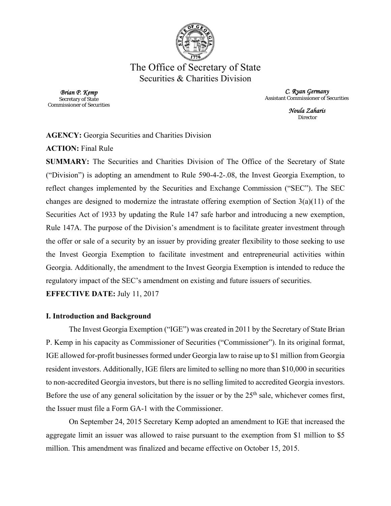

# The Office of Secretary of State Securities & Charities Division

*Brian P. Kemp*  Secretary of State Commissioner of Securities

*C. Ryan Germany*  Assistant Commissioner of Securities

> *Noula Zaharis*  **Director**

### **AGENCY:** Georgia Securities and Charities Division

**ACTION:** Final Rule

**SUMMARY:** The Securities and Charities Division of The Office of the Secretary of State ("Division") is adopting an amendment to Rule 590-4-2-.08, the Invest Georgia Exemption, to reflect changes implemented by the Securities and Exchange Commission ("SEC"). The SEC changes are designed to modernize the intrastate offering exemption of Section  $3(a)(11)$  of the Securities Act of 1933 by updating the Rule 147 safe harbor and introducing a new exemption, Rule 147A. The purpose of the Division's amendment is to facilitate greater investment through the offer or sale of a security by an issuer by providing greater flexibility to those seeking to use the Invest Georgia Exemption to facilitate investment and entrepreneurial activities within Georgia. Additionally, the amendment to the Invest Georgia Exemption is intended to reduce the regulatory impact of the SEC's amendment on existing and future issuers of securities.

**EFFECTIVE DATE:** July 11, 2017

## **I. Introduction and Background**

 The Invest Georgia Exemption ("IGE") was created in 2011 by the Secretary of State Brian P. Kemp in his capacity as Commissioner of Securities ("Commissioner"). In its original format, IGE allowed for-profit businesses formed under Georgia law to raise up to \$1 million from Georgia resident investors. Additionally, IGE filers are limited to selling no more than \$10,000 in securities to non-accredited Georgia investors, but there is no selling limited to accredited Georgia investors. Before the use of any general solicitation by the issuer or by the  $25<sup>th</sup>$  sale, whichever comes first, the Issuer must file a Form GA-1 with the Commissioner.

 On September 24, 2015 Secretary Kemp adopted an amendment to IGE that increased the aggregate limit an issuer was allowed to raise pursuant to the exemption from \$1 million to \$5 million. This amendment was finalized and became effective on October 15, 2015.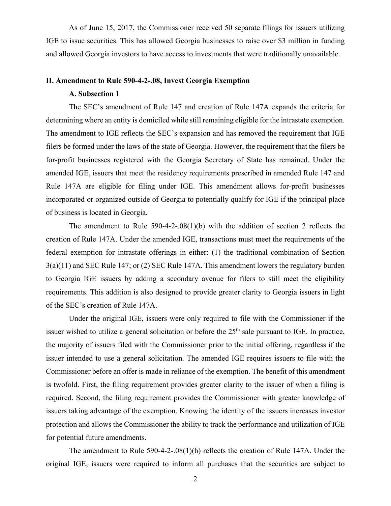As of June 15, 2017, the Commissioner received 50 separate filings for issuers utilizing IGE to issue securities. This has allowed Georgia businesses to raise over \$3 million in funding and allowed Georgia investors to have access to investments that were traditionally unavailable.

#### **II. Amendment to Rule 590-4-2-.08, Invest Georgia Exemption**

#### **A. Subsection 1**

 The SEC's amendment of Rule 147 and creation of Rule 147A expands the criteria for determining where an entity is domiciled while still remaining eligible for the intrastate exemption. The amendment to IGE reflects the SEC's expansion and has removed the requirement that IGE filers be formed under the laws of the state of Georgia. However, the requirement that the filers be for-profit businesses registered with the Georgia Secretary of State has remained. Under the amended IGE, issuers that meet the residency requirements prescribed in amended Rule 147 and Rule 147A are eligible for filing under IGE. This amendment allows for-profit businesses incorporated or organized outside of Georgia to potentially qualify for IGE if the principal place of business is located in Georgia.

The amendment to Rule  $590-4-2-08(1)(b)$  with the addition of section 2 reflects the creation of Rule 147A. Under the amended IGE, transactions must meet the requirements of the federal exemption for intrastate offerings in either: (1) the traditional combination of Section 3(a)(11) and SEC Rule 147; or (2) SEC Rule 147A. This amendment lowers the regulatory burden to Georgia IGE issuers by adding a secondary avenue for filers to still meet the eligibility requirements. This addition is also designed to provide greater clarity to Georgia issuers in light of the SEC's creation of Rule 147A.

 Under the original IGE, issuers were only required to file with the Commissioner if the issuer wished to utilize a general solicitation or before the  $25<sup>th</sup>$  sale pursuant to IGE. In practice, the majority of issuers filed with the Commissioner prior to the initial offering, regardless if the issuer intended to use a general solicitation. The amended IGE requires issuers to file with the Commissioner before an offer is made in reliance of the exemption. The benefit of this amendment is twofold. First, the filing requirement provides greater clarity to the issuer of when a filing is required. Second, the filing requirement provides the Commissioner with greater knowledge of issuers taking advantage of the exemption. Knowing the identity of the issuers increases investor protection and allows the Commissioner the ability to track the performance and utilization of IGE for potential future amendments.

 The amendment to Rule 590-4-2-.08(1)(h) reflects the creation of Rule 147A. Under the original IGE, issuers were required to inform all purchases that the securities are subject to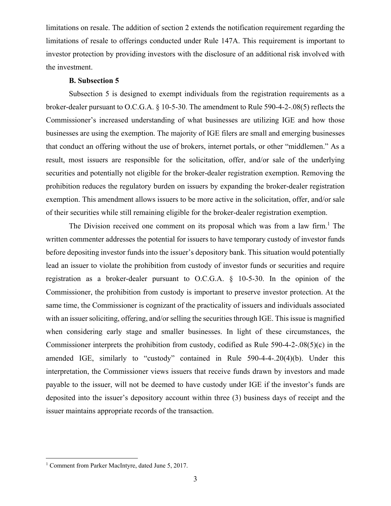limitations on resale. The addition of section 2 extends the notification requirement regarding the limitations of resale to offerings conducted under Rule 147A. This requirement is important to investor protection by providing investors with the disclosure of an additional risk involved with the investment.

#### **B. Subsection 5**

 Subsection 5 is designed to exempt individuals from the registration requirements as a broker-dealer pursuant to O.C.G.A. § 10-5-30. The amendment to Rule 590-4-2-.08(5) reflects the Commissioner's increased understanding of what businesses are utilizing IGE and how those businesses are using the exemption. The majority of IGE filers are small and emerging businesses that conduct an offering without the use of brokers, internet portals, or other "middlemen." As a result, most issuers are responsible for the solicitation, offer, and/or sale of the underlying securities and potentially not eligible for the broker-dealer registration exemption. Removing the prohibition reduces the regulatory burden on issuers by expanding the broker-dealer registration exemption. This amendment allows issuers to be more active in the solicitation, offer, and/or sale of their securities while still remaining eligible for the broker-dealer registration exemption.

The Division received one comment on its proposal which was from a law firm.<sup>1</sup> The written commenter addresses the potential for issuers to have temporary custody of investor funds before depositing investor funds into the issuer's depository bank. This situation would potentially lead an issuer to violate the prohibition from custody of investor funds or securities and require registration as a broker-dealer pursuant to O.C.G.A. § 10-5-30. In the opinion of the Commissioner, the prohibition from custody is important to preserve investor protection. At the same time, the Commissioner is cognizant of the practicality of issuers and individuals associated with an issuer soliciting, offering, and/or selling the securities through IGE. This issue is magnified when considering early stage and smaller businesses. In light of these circumstances, the Commissioner interprets the prohibition from custody, codified as Rule 590-4-2-.08(5)(c) in the amended IGE, similarly to "custody" contained in Rule 590-4-4-.20(4)(b). Under this interpretation, the Commissioner views issuers that receive funds drawn by investors and made payable to the issuer, will not be deemed to have custody under IGE if the investor's funds are deposited into the issuer's depository account within three (3) business days of receipt and the issuer maintains appropriate records of the transaction.

 $\overline{a}$ 

<sup>&</sup>lt;sup>1</sup> Comment from Parker MacIntyre, dated June 5, 2017.